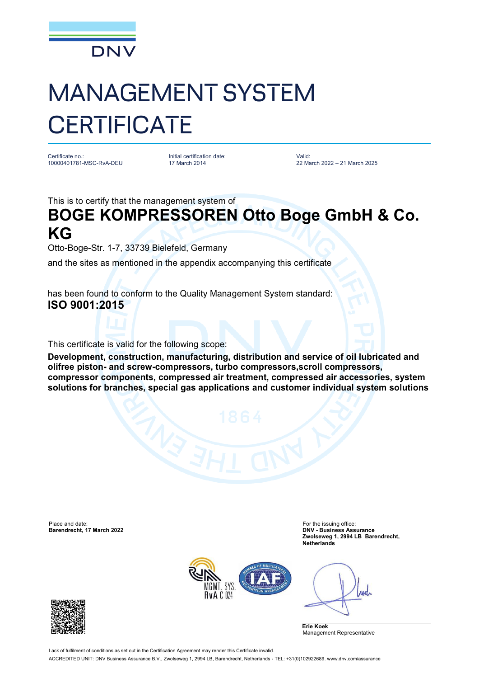

## MANAGEMENT SYSTEM **CERTIFICATE**

Certificate no.: 10000401781-MSC-RvA-DEU Initial certification date: 17 March 2014

Valid: 22 March 2022 – 21 March 2025

This is to certify that the management system of

## **BOGE KOMPRESSOREN Otto Boge GmbH & Co. KG**

Otto-Boge-Str. 1-7, 33739 Bielefeld, Germany

and the sites as mentioned in the appendix accompanying this certificate

has been found to conform to the Quality Management System standard: **ISO 9001:2015**

This certificate is valid for the following scope:

**Development, construction, manufacturing, distribution and service of oil lubricated and olifree piston- and screw-compressors, turbo compressors,scroll compressors, compressor components, compressed air treatment, compressed air accessories, system solutions for branches, special gas applications and customer individual system solutions**

Place and date: For the issuing office: For the issuing office: **Barendrecht, 17 March 2022** 

**Zwolseweg 1, 2994 LB Barendrecht, Netherlands**



Anel

**Erie Koek** Management Representative



Lack of fulfilment of conditions as set out in the Certification Agreement may render this Certificate invalid. ACCREDITED UNIT: DNV Business Assurance B.V., Zwolseweg 1, 2994 LB, Barendrecht, Netherlands - TEL: +31(0)102922689. [www.dnv.com/assurance](http://www.dnv.com/assurance)